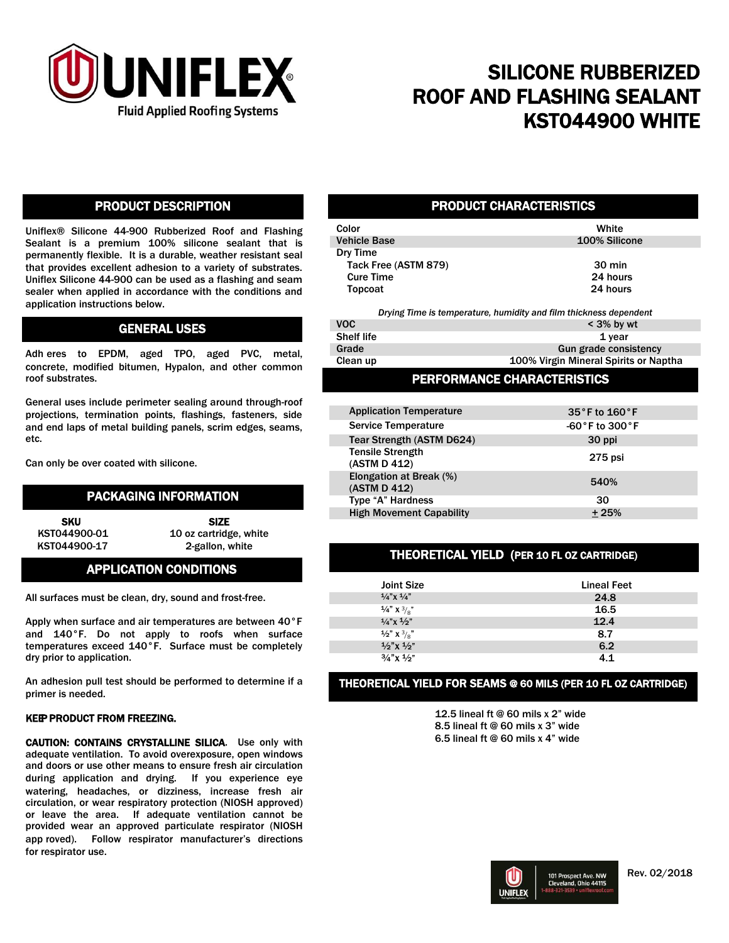

## SILICONE RUBBERIZED ROOF AND FLASHING SEALANT KST044900 WHITE

#### PRODUCT DESCRIPTION

Uniflex® Silicone 44-900 Rubberized Roof and Flashing Sealant is a premium 100% silicone sealant that is permanently flexible. It is a durable, weather resistant seal that provides excellent adhesion to a variety of substrates. Uniflex Silicone 44-900 can be used as a flashing and seam sealer when applied in accordance with the conditions and application instructions below.

#### GENERAL USES

Adh eres to EPDM, aged TPO, aged PVC, metal, concrete, modified bitumen, Hypalon, and other common roof substrates.

General uses include perimeter sealing around through-roof projections, termination points, flashings, fasteners, side and end laps of metal building panels, scrim edges, seams, etc.

Can only be over coated with silicone.

### PACKAGING INFORMATION

KST044900-17 2-gallon, white

SKU SIZE KST044900-01 10 oz cartridge, white

## APPLICATION CONDITIONS

All surfaces must be clean, dry, sound and frost-free.

Apply when surface and air temperatures are between 40°F and 140°F. Do not apply to roofs when surface temperatures exceed 140°F. Surface must be completely dry prior to application.

An adhesion pull test should be performed to determine if a primer is needed.

#### KEEP PRODUCT FROM FREEZING.

CAUTION: CONTAINS CRYSTALLINE SILICA. Use only with adequate ventilation. To avoid overexposure, open windows and doors or use other means to ensure fresh air circulation during application and drying. If you experience eye watering, headaches, or dizziness, increase fresh air circulation, or wear respiratory protection (NIOSH approved) or leave the area. If adequate ventilation cannot be provided wear an approved particulate respirator (NIOSH app roved). Follow respirator manufacturer's directions for respirator use.

#### PRODUCT CHARACTERISTICS

| Color                                                             | White            |
|-------------------------------------------------------------------|------------------|
|                                                                   |                  |
| <b>Vehicle Base</b>                                               | 100% Silicone    |
| Dry Time                                                          |                  |
| Tack Free (ASTM 879)                                              | $30 \text{ min}$ |
| <b>Cure Time</b>                                                  | 24 hours         |
| Topcoat                                                           | 24 hours         |
| Drying Time is temperature, humidity and film thickness dependent |                  |
| VOC.                                                              | $<$ 3% hy wt     |

| VOC.              | $<$ 3% by wt                 |
|-------------------|------------------------------|
| <b>Shelf life</b> | 1 year                       |
| Grade             | <b>Gun grade consistency</b> |
|                   |                              |

Clean up 100% Virgin Mineral Spirits or Naptha

#### PERFORMANCE CHARACTERISTICS

| <b>Application Temperature</b>          | $35^\circ$ F to $160^\circ$ F     |
|-----------------------------------------|-----------------------------------|
| <b>Service Temperature</b>              | $-60\degree$ F to 300 $\degree$ F |
| Tear Strength (ASTM D624)               | 30 ppi                            |
| <b>Tensile Strength</b><br>(ASTM D 412) | 275 psi                           |
| Elongation at Break (%)<br>(ASTM D 412) | 540%                              |
| Type "A" Hardness                       | 30                                |
| <b>High Movement Capability</b>         | $+25%$                            |

#### THEORETICAL YIELD (PER 10 FL OZ CARTRIDGE)

| <b>Joint Size</b>                 | <b>Lineal Feet</b> |
|-----------------------------------|--------------------|
| $1/4$ " X $1/4$ "                 | 24.8               |
| $\frac{1}{4}$ X $\frac{3}{8}$     | 16.5               |
| $1/a''$ x $1/2''$                 | 12.4               |
| $\frac{1}{2}$ " X $\frac{3}{8}$ " | 8.7                |
| $1/2$ " x $1/2$ "                 | 6.2                |
| $3/4$ " x $1/2$ "                 | 41                 |

#### THEORETICAL YIELD FOR SEAMS @ 60 MILS (PER 10 FL OZ CARTRIDGE)

12.5 lineal ft @ 60 mils x 2" wide 8.5 lineal ft @ 60 mils x 3" wide 6.5 lineal ft @ 60 mils x 4" wide